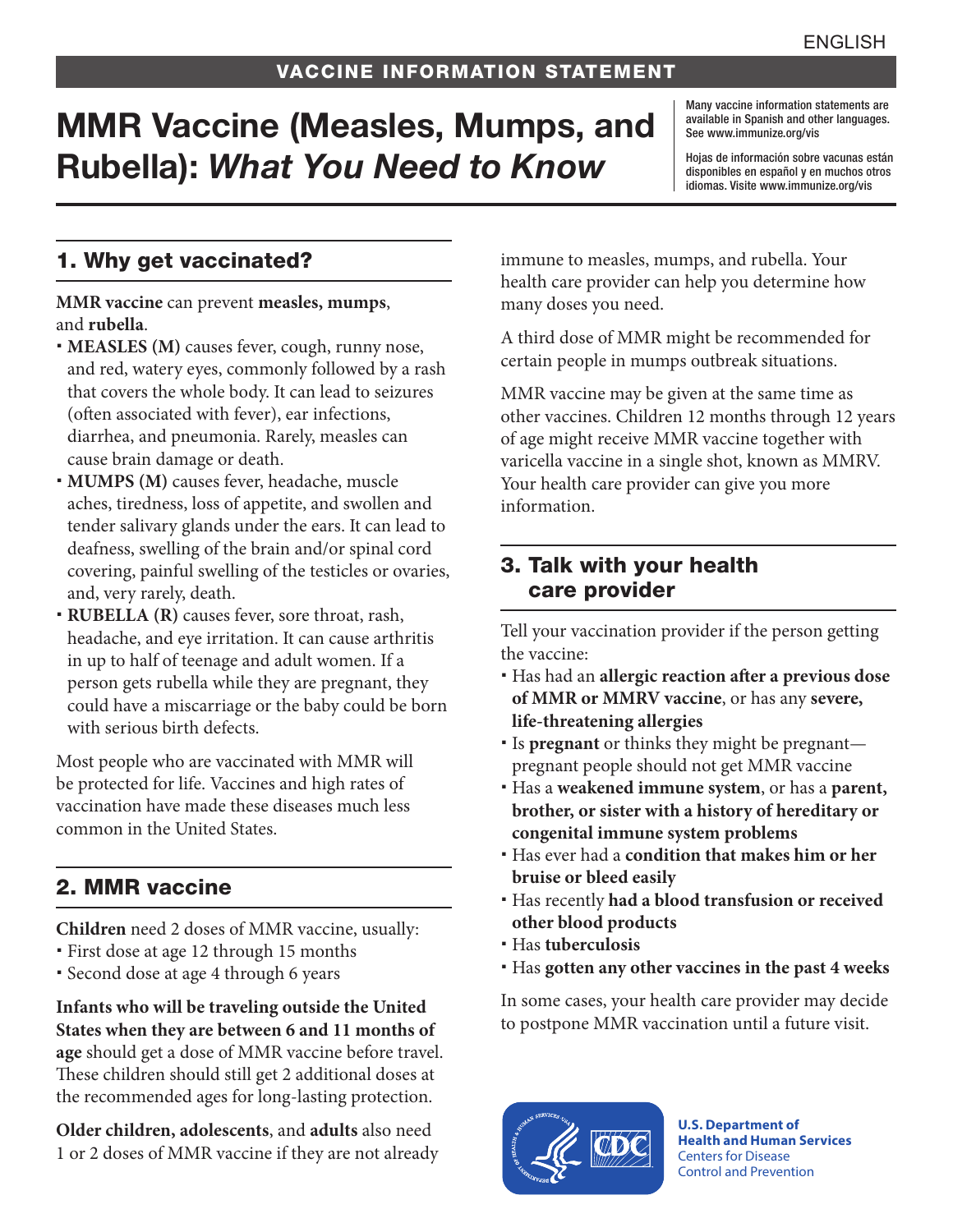# MMR Vaccine (Measles, Mumps, and Rubella): *What You Need to Know*

Many vaccine information statements are available in Spanish and other languages. See [www.immunize.org/vis](http://www.immunize.org/vis)

Hojas de información sobre vacunas están disponibles en español y en muchos otros idiomas. Visite [www.immunize.org/vis](http://www.immunize.org/vis)

## 1. Why get vaccinated?

**MMR vaccine** can prevent **measles, mumps**, and **rubella**.

- **MEASLES (M)** causes fever, cough, runny nose, and red, watery eyes, commonly followed by a rash that covers the whole body. It can lead to seizures (often associated with fever), ear infections, diarrhea, and pneumonia. Rarely, measles can cause brain damage or death.
- **MUMPS (M)** causes fever, headache, muscle aches, tiredness, loss of appetite, and swollen and tender salivary glands under the ears. It can lead to deafness, swelling of the brain and/or spinal cord covering, painful swelling of the testicles or ovaries, and, very rarely, death.
- **RUBELLA (R)** causes fever, sore throat, rash, headache, and eye irritation. It can cause arthritis in up to half of teenage and adult women. If a person gets rubella while they are pregnant, they could have a miscarriage or the baby could be born with serious birth defects.

Most people who are vaccinated with MMR will be protected for life. Vaccines and high rates of vaccination have made these diseases much less common in the United States.

# 2. MMR vaccine

**Children** need 2 doses of MMR vaccine, usually:

- First dose at age 12 through 15 months
- Second dose at age 4 through 6 years

**Infants who will be traveling outside the United States when they are between 6 and 11 months of age** should get a dose of MMR vaccine before travel. These children should still get 2 additional doses at the recommended ages for long-lasting protection.

**Older children, adolescents**, and **adults** also need 1 or 2 doses of MMR vaccine if they are not already immune to measles, mumps, and rubella. Your health care provider can help you determine how many doses you need.

A third dose of MMR might be recommended for certain people in mumps outbreak situations.

MMR vaccine may be given at the same time as other vaccines. Children 12 months through 12 years of age might receive MMR vaccine together with varicella vaccine in a single shot, known as MMRV. Your health care provider can give you more information.

#### 3. Talk with your health care provider

Tell your vaccination provider if the person getting the vaccine:

- Has had an **allergic reaction after a previous dose of MMR or MMRV vaccine**, or has any **severe, life-threatening allergies**
- Is **pregnant** or thinks they might be pregnant pregnant people should not get MMR vaccine
- Has a **weakened immune system**, or has a **parent, brother, or sister with a history of hereditary or congenital immune system problems**
- Has ever had a **condition that makes him or her bruise or bleed easily**
- Has recently **had a blood transfusion or received other blood products**
- Has **tuberculosis**
- Has **gotten any other vaccines in the past 4 weeks**

In some cases, your health care provider may decide to postpone MMR vaccination until a future visit.



**U.S. Department of Health and Human Services**  Centers for Disease Control and Prevention